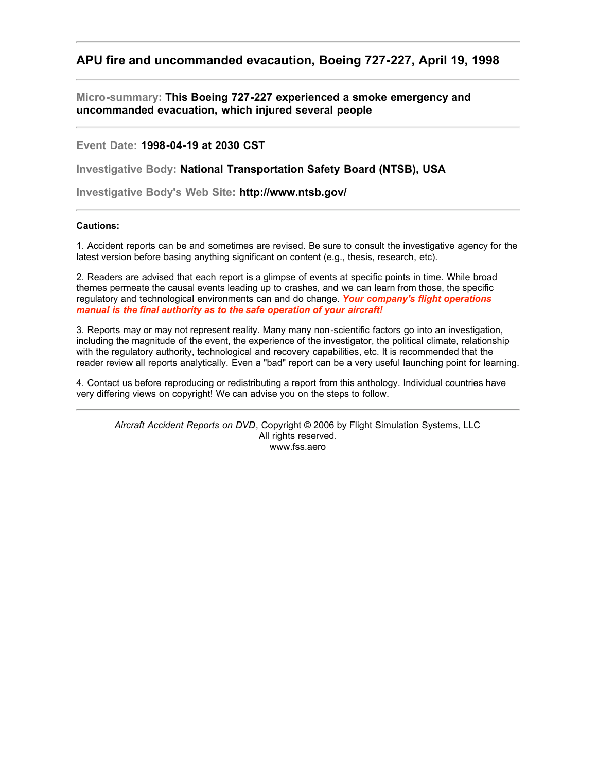## **APU fire and uncommanded evacaution, Boeing 727-227, April 19, 1998**

**Micro-summary: This Boeing 727-227 experienced a smoke emergency and uncommanded evacuation, which injured several people**

**Event Date: 1998-04-19 at 2030 CST**

**Investigative Body: National Transportation Safety Board (NTSB), USA**

**Investigative Body's Web Site: http://www.ntsb.gov/**

## **Cautions:**

1. Accident reports can be and sometimes are revised. Be sure to consult the investigative agency for the latest version before basing anything significant on content (e.g., thesis, research, etc).

2. Readers are advised that each report is a glimpse of events at specific points in time. While broad themes permeate the causal events leading up to crashes, and we can learn from those, the specific regulatory and technological environments can and do change. *Your company's flight operations manual is the final authority as to the safe operation of your aircraft!*

3. Reports may or may not represent reality. Many many non-scientific factors go into an investigation, including the magnitude of the event, the experience of the investigator, the political climate, relationship with the regulatory authority, technological and recovery capabilities, etc. It is recommended that the reader review all reports analytically. Even a "bad" report can be a very useful launching point for learning.

4. Contact us before reproducing or redistributing a report from this anthology. Individual countries have very differing views on copyright! We can advise you on the steps to follow.

*Aircraft Accident Reports on DVD*, Copyright © 2006 by Flight Simulation Systems, LLC All rights reserved. www.fss.aero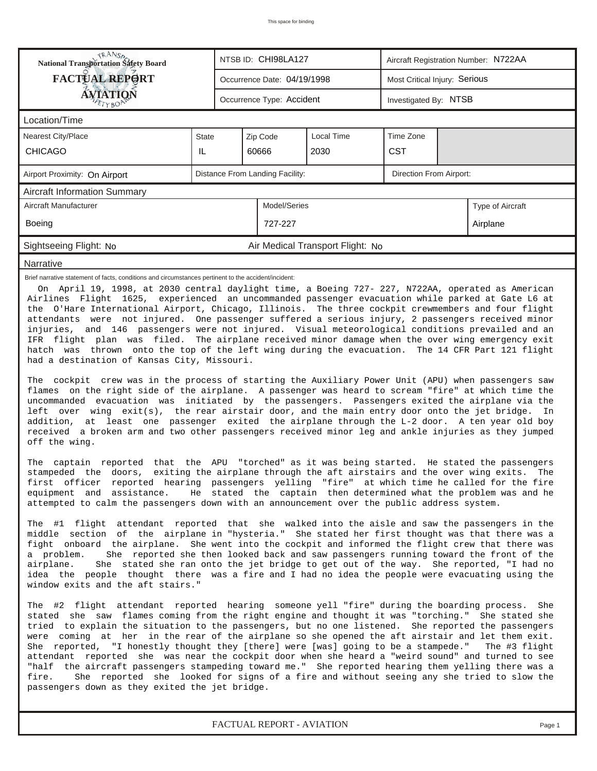| <b>FACTUAL REPORT</b><br>Most Critical Injury: Serious<br>Occurrence Date: 04/19/1998<br>AVIATION<br>Occurrence Type: Accident<br>Investigated By: NTSB<br>Location/Time<br>Local Time<br>Time Zone<br><b>Nearest City/Place</b><br>Zip Code<br><b>State</b><br><b>CST</b><br><b>CHICAGO</b><br>IL<br>60666<br>2030<br>Distance From Landing Facility:<br>Direction From Airport:<br>Airport Proximity: On Airport<br><b>Aircraft Information Summary</b><br>Aircraft Manufacturer<br>Model/Series<br>Type of Aircraft<br>Boeing<br>727-227<br>Airplane<br>Sightseeing Flight: No<br>Air Medical Transport Flight: No<br>Narrative<br>Brief narrative statement of facts, conditions and circumstances pertinent to the accident/incident:<br>Airlines Flight 1625, experienced an uncommanded passenger evacuation while parked at Gate L6 at<br>the O'Hare International Airport, Chicago, Illinois. The three cockpit crewmembers and four flight<br>attendants were not injured. One passenger suffered a serious injury, 2 passengers received minor<br>injuries, and 146 passengers were not injured. Visual meteorological conditions prevailed and an<br>IFR flight plan was filed. The airplane received minor damage when the over wing emergency exit<br>hatch was thrown onto the top of the left wing during the evacuation. The 14 CFR Part 121 flight<br>had a destination of Kansas City, Missouri.<br>The cockpit crew was in the process of starting the Auxiliary Power Unit (APU) when passengers saw<br>flames on the right side of the airplane. A passenger was heard to scream "fire" at which time the<br>uncommanded evacuation was initiated by the passengers. Passengers exited the airplane via the<br>left over wing exit(s), the rear airstair door, and the main entry door onto the jet bridge.<br>off the wing.<br>The captain reported that the APU "torched" as it was being started. He stated the passengers<br>stampeded the doors, exiting the airplane through the aft airstairs and the over wing exits. The<br>first officer reported hearing passengers yelling "fire" at which time he called for the fire<br>equipment and assistance. He stated the captain then determined what the problem was and he<br>attempted to calm the passengers down with an announcement over the public address system.<br>The #1 flight attendant reported that she walked into the aisle and saw the passengers in the<br>middle section of the airplane in "hysteria." She stated her first thought was that there was a<br>fight onboard the airplane. She went into the cockpit and informed the flight crew that there was<br>She reported she then looked back and saw passengers running toward the front of the<br>a problem.<br>airplane.<br>She stated she ran onto the jet bridge to get out of the way. She reported, "I had no<br>idea the people thought there was a fire and I had no idea the people were evacuating using the<br>window exits and the aft stairs." | <b>TRANSA</b><br>National Transportation Safety Board<br>NTSB ID: CHI98LA127<br>Aircraft Registration Number: N722AA                                                                                                                                                                                                                                                                                             |  |  |  |  |  |  |  |  |  |  |
|--------------------------------------------------------------------------------------------------------------------------------------------------------------------------------------------------------------------------------------------------------------------------------------------------------------------------------------------------------------------------------------------------------------------------------------------------------------------------------------------------------------------------------------------------------------------------------------------------------------------------------------------------------------------------------------------------------------------------------------------------------------------------------------------------------------------------------------------------------------------------------------------------------------------------------------------------------------------------------------------------------------------------------------------------------------------------------------------------------------------------------------------------------------------------------------------------------------------------------------------------------------------------------------------------------------------------------------------------------------------------------------------------------------------------------------------------------------------------------------------------------------------------------------------------------------------------------------------------------------------------------------------------------------------------------------------------------------------------------------------------------------------------------------------------------------------------------------------------------------------------------------------------------------------------------------------------------------------------------------------------------------------------------------------------------------------------------------------------------------------------------------------------------------------------------------------------------------------------------------------------------------------------------------------------------------------------------------------------------------------------------------------------------------------------------------------------------------------------------------------------------------------------------------------------------------------------------------------------------------------------------------------------------------------------------------------------------------------------------------------------------------------------------------------------------------------------------------------------------------------------------------------------------------------------------------------------------------------------------------------------------------------|------------------------------------------------------------------------------------------------------------------------------------------------------------------------------------------------------------------------------------------------------------------------------------------------------------------------------------------------------------------------------------------------------------------|--|--|--|--|--|--|--|--|--|--|
|                                                                                                                                                                                                                                                                                                                                                                                                                                                                                                                                                                                                                                                                                                                                                                                                                                                                                                                                                                                                                                                                                                                                                                                                                                                                                                                                                                                                                                                                                                                                                                                                                                                                                                                                                                                                                                                                                                                                                                                                                                                                                                                                                                                                                                                                                                                                                                                                                                                                                                                                                                                                                                                                                                                                                                                                                                                                                                                                                                                                                    |                                                                                                                                                                                                                                                                                                                                                                                                                  |  |  |  |  |  |  |  |  |  |  |
|                                                                                                                                                                                                                                                                                                                                                                                                                                                                                                                                                                                                                                                                                                                                                                                                                                                                                                                                                                                                                                                                                                                                                                                                                                                                                                                                                                                                                                                                                                                                                                                                                                                                                                                                                                                                                                                                                                                                                                                                                                                                                                                                                                                                                                                                                                                                                                                                                                                                                                                                                                                                                                                                                                                                                                                                                                                                                                                                                                                                                    |                                                                                                                                                                                                                                                                                                                                                                                                                  |  |  |  |  |  |  |  |  |  |  |
|                                                                                                                                                                                                                                                                                                                                                                                                                                                                                                                                                                                                                                                                                                                                                                                                                                                                                                                                                                                                                                                                                                                                                                                                                                                                                                                                                                                                                                                                                                                                                                                                                                                                                                                                                                                                                                                                                                                                                                                                                                                                                                                                                                                                                                                                                                                                                                                                                                                                                                                                                                                                                                                                                                                                                                                                                                                                                                                                                                                                                    |                                                                                                                                                                                                                                                                                                                                                                                                                  |  |  |  |  |  |  |  |  |  |  |
|                                                                                                                                                                                                                                                                                                                                                                                                                                                                                                                                                                                                                                                                                                                                                                                                                                                                                                                                                                                                                                                                                                                                                                                                                                                                                                                                                                                                                                                                                                                                                                                                                                                                                                                                                                                                                                                                                                                                                                                                                                                                                                                                                                                                                                                                                                                                                                                                                                                                                                                                                                                                                                                                                                                                                                                                                                                                                                                                                                                                                    |                                                                                                                                                                                                                                                                                                                                                                                                                  |  |  |  |  |  |  |  |  |  |  |
|                                                                                                                                                                                                                                                                                                                                                                                                                                                                                                                                                                                                                                                                                                                                                                                                                                                                                                                                                                                                                                                                                                                                                                                                                                                                                                                                                                                                                                                                                                                                                                                                                                                                                                                                                                                                                                                                                                                                                                                                                                                                                                                                                                                                                                                                                                                                                                                                                                                                                                                                                                                                                                                                                                                                                                                                                                                                                                                                                                                                                    |                                                                                                                                                                                                                                                                                                                                                                                                                  |  |  |  |  |  |  |  |  |  |  |
|                                                                                                                                                                                                                                                                                                                                                                                                                                                                                                                                                                                                                                                                                                                                                                                                                                                                                                                                                                                                                                                                                                                                                                                                                                                                                                                                                                                                                                                                                                                                                                                                                                                                                                                                                                                                                                                                                                                                                                                                                                                                                                                                                                                                                                                                                                                                                                                                                                                                                                                                                                                                                                                                                                                                                                                                                                                                                                                                                                                                                    |                                                                                                                                                                                                                                                                                                                                                                                                                  |  |  |  |  |  |  |  |  |  |  |
|                                                                                                                                                                                                                                                                                                                                                                                                                                                                                                                                                                                                                                                                                                                                                                                                                                                                                                                                                                                                                                                                                                                                                                                                                                                                                                                                                                                                                                                                                                                                                                                                                                                                                                                                                                                                                                                                                                                                                                                                                                                                                                                                                                                                                                                                                                                                                                                                                                                                                                                                                                                                                                                                                                                                                                                                                                                                                                                                                                                                                    |                                                                                                                                                                                                                                                                                                                                                                                                                  |  |  |  |  |  |  |  |  |  |  |
|                                                                                                                                                                                                                                                                                                                                                                                                                                                                                                                                                                                                                                                                                                                                                                                                                                                                                                                                                                                                                                                                                                                                                                                                                                                                                                                                                                                                                                                                                                                                                                                                                                                                                                                                                                                                                                                                                                                                                                                                                                                                                                                                                                                                                                                                                                                                                                                                                                                                                                                                                                                                                                                                                                                                                                                                                                                                                                                                                                                                                    |                                                                                                                                                                                                                                                                                                                                                                                                                  |  |  |  |  |  |  |  |  |  |  |
|                                                                                                                                                                                                                                                                                                                                                                                                                                                                                                                                                                                                                                                                                                                                                                                                                                                                                                                                                                                                                                                                                                                                                                                                                                                                                                                                                                                                                                                                                                                                                                                                                                                                                                                                                                                                                                                                                                                                                                                                                                                                                                                                                                                                                                                                                                                                                                                                                                                                                                                                                                                                                                                                                                                                                                                                                                                                                                                                                                                                                    |                                                                                                                                                                                                                                                                                                                                                                                                                  |  |  |  |  |  |  |  |  |  |  |
|                                                                                                                                                                                                                                                                                                                                                                                                                                                                                                                                                                                                                                                                                                                                                                                                                                                                                                                                                                                                                                                                                                                                                                                                                                                                                                                                                                                                                                                                                                                                                                                                                                                                                                                                                                                                                                                                                                                                                                                                                                                                                                                                                                                                                                                                                                                                                                                                                                                                                                                                                                                                                                                                                                                                                                                                                                                                                                                                                                                                                    |                                                                                                                                                                                                                                                                                                                                                                                                                  |  |  |  |  |  |  |  |  |  |  |
|                                                                                                                                                                                                                                                                                                                                                                                                                                                                                                                                                                                                                                                                                                                                                                                                                                                                                                                                                                                                                                                                                                                                                                                                                                                                                                                                                                                                                                                                                                                                                                                                                                                                                                                                                                                                                                                                                                                                                                                                                                                                                                                                                                                                                                                                                                                                                                                                                                                                                                                                                                                                                                                                                                                                                                                                                                                                                                                                                                                                                    |                                                                                                                                                                                                                                                                                                                                                                                                                  |  |  |  |  |  |  |  |  |  |  |
| stated she saw flames coming from the right engine and thought it was "torching." She stated she<br>tried to explain the situation to the passengers, but no one listened. She reported the passengers<br>were coming at her in the rear of the airplane so she opened the aft airstair and let them exit.<br>She reported, "I honestly thought they [there] were [was] going to be a stampede."<br>The #3 flight<br>attendant reported she was near the cockpit door when she heard a "weird sound" and turned to see<br>"half the aircraft passengers stampeding toward me." She reported hearing them yelling there was a                                                                                                                                                                                                                                                                                                                                                                                                                                                                                                                                                                                                                                                                                                                                                                                                                                                                                                                                                                                                                                                                                                                                                                                                                                                                                                                                                                                                                                                                                                                                                                                                                                                                                                                                                                                                                                                                                                                                                                                                                                                                                                                                                                                                                                                                                                                                                                                       | On April 19, 1998, at 2030 central daylight time, a Boeing 727- 227, N722AA, operated as American<br>In<br>addition, at least one passenger exited the airplane through the L-2 door. A ten year old boy<br>received a broken arm and two other passengers received minor leg and ankle injuries as they jumped<br>The #2 flight attendant reported hearing someone yell "fire" during the boarding process. She |  |  |  |  |  |  |  |  |  |  |

*FACTUAL REPORT - AVIATION Page 1*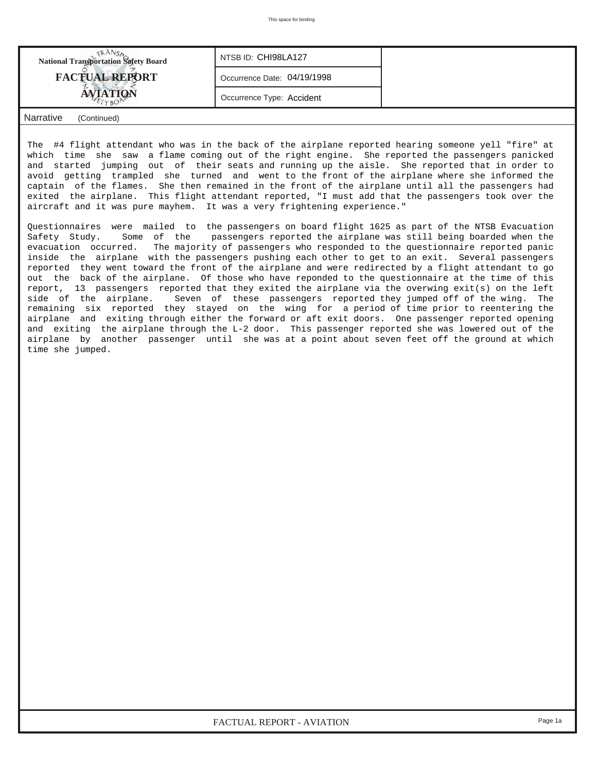| <b>National Transportation Safety Board</b> | NTSB ID: CHI98LA127         |  |  |  |  |  |
|---------------------------------------------|-----------------------------|--|--|--|--|--|
| <b>FACTUAL REPORT</b>                       | Occurrence Date: 04/19/1998 |  |  |  |  |  |
| AVIATION                                    | Occurrence Type: Accident   |  |  |  |  |  |
| Narrative<br>(Continued)                    |                             |  |  |  |  |  |

The #4 flight attendant who was in the back of the airplane reported hearing someone yell "fire" at which time she saw a flame coming out of the right engine. She reported the passengers panicked and started jumping out of their seats and running up the aisle. She reported that in order to avoid getting trampled she turned and went to the front of the airplane where she informed the captain of the flames. She then remained in the front of the airplane until all the passengers had exited the airplane. This flight attendant reported, "I must add that the passengers took over the aircraft and it was pure mayhem. It was a very frightening experience."

Questionnaires were mailed to the passengers on board flight 1625 as part of the NTSB Evacuation Safety Study. Some of the passengers reported the airplane was still being boarded when the evacuation occurred. The majority of passengers who responded to the questionnaire reported panic inside the airplane with the passengers pushing each other to get to an exit. Several passengers reported they went toward the front of the airplane and were redirected by a flight attendant to go out the back of the airplane. Of those who have reponded to the questionnaire at the time of this report, 13 passengers reported that they exited the airplane via the overwing exit(s) on the left side of the airplane. Seven of these passengers reported they jumped off of the wing. The remaining six reported they stayed on the wing for a period of time prior to reentering the airplane and exiting through either the forward or aft exit doors. One passenger reported opening and exiting the airplane through the L-2 door. This passenger reported she was lowered out of the airplane by another passenger until she was at a point about seven feet off the ground at which time she jumped.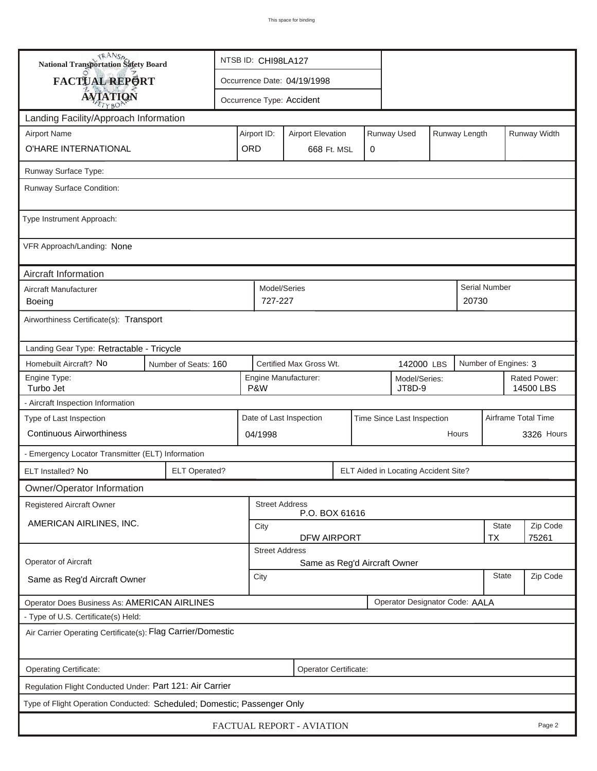| TRANSA<br>NTSB ID: CHI98LA127<br>National Transportation Safety Board                                            |                       |             |                                         |   |                                      |  |               |                     |              |  |
|------------------------------------------------------------------------------------------------------------------|-----------------------|-------------|-----------------------------------------|---|--------------------------------------|--|---------------|---------------------|--------------|--|
| FACTUAL REPORT                                                                                                   |                       |             | Occurrence Date: 04/19/1998             |   |                                      |  |               |                     |              |  |
| <b>AVIATION</b><br>Occurrence Type: Accident                                                                     |                       |             |                                         |   |                                      |  |               |                     |              |  |
| Landing Facility/Approach Information                                                                            |                       |             |                                         |   |                                      |  |               |                     |              |  |
| <b>Airport Name</b>                                                                                              |                       | Airport ID: | <b>Airport Elevation</b>                |   | Runway Used                          |  | Runway Length |                     | Runway Width |  |
| O'HARE INTERNATIONAL                                                                                             |                       | ORD         | 668 Ft. MSL                             | 0 |                                      |  |               |                     |              |  |
| Runway Surface Type:                                                                                             |                       |             |                                         |   |                                      |  |               |                     |              |  |
| Runway Surface Condition:                                                                                        |                       |             |                                         |   |                                      |  |               |                     |              |  |
| Type Instrument Approach:                                                                                        |                       |             |                                         |   |                                      |  |               |                     |              |  |
| VFR Approach/Landing: None                                                                                       |                       |             |                                         |   |                                      |  |               |                     |              |  |
| Aircraft Information                                                                                             |                       |             |                                         |   |                                      |  |               |                     |              |  |
| Aircraft Manufacturer<br>Boeing                                                                                  |                       | 727-227     | Model/Series                            |   |                                      |  | 20730         | Serial Number       |              |  |
| Airworthiness Certificate(s): Transport                                                                          |                       |             |                                         |   |                                      |  |               |                     |              |  |
| Landing Gear Type: Retractable - Tricycle                                                                        |                       |             |                                         |   |                                      |  |               |                     |              |  |
| Homebuilt Aircraft? No<br>Certified Max Gross Wt.<br>Number of Engines: 3<br>142000 LBS<br>Number of Seats: 160  |                       |             |                                         |   |                                      |  |               |                     |              |  |
| Engine Type:<br>Engine Manufacturer:<br>Rated Power:<br>Model/Series:<br>Turbo Jet<br>P&W<br>JT8D-9<br>14500 LBS |                       |             |                                         |   |                                      |  |               |                     |              |  |
| - Aircraft Inspection Information                                                                                |                       |             |                                         |   |                                      |  |               |                     |              |  |
| Type of Last Inspection                                                                                          |                       |             | Date of Last Inspection                 |   | Time Since Last Inspection           |  |               | Airframe Total Time |              |  |
| <b>Continuous Airworthiness</b>                                                                                  |                       | 04/1998     |                                         |   |                                      |  | Hours         |                     | 3326 Hours   |  |
| - Emergency Locator Transmitter (ELT) Information                                                                |                       |             |                                         |   |                                      |  |               |                     |              |  |
| ELT Installed? No                                                                                                | <b>ELT Operated?</b>  |             |                                         |   | ELT Aided in Locating Accident Site? |  |               |                     |              |  |
| Owner/Operator Information                                                                                       |                       |             |                                         |   |                                      |  |               |                     |              |  |
| <b>Registered Aircraft Owner</b>                                                                                 |                       |             | <b>Street Address</b><br>P.O. BOX 61616 |   |                                      |  |               |                     |              |  |
| AMERICAN AIRLINES, INC.                                                                                          | City                  | State       | Zip Code                                |   |                                      |  |               |                     |              |  |
| <b>DFW AIRPORT</b><br>TX<br><b>Street Address</b>                                                                |                       |             |                                         |   |                                      |  |               |                     | 75261        |  |
| Operator of Aircraft<br>Same as Reg'd Aircraft Owner                                                             |                       |             |                                         |   |                                      |  |               |                     |              |  |
| Zip Code<br><b>State</b><br>City<br>Same as Reg'd Aircraft Owner                                                 |                       |             |                                         |   |                                      |  |               |                     |              |  |
| Operator Designator Code: AALA<br>Operator Does Business As: AMERICAN AIRLINES                                   |                       |             |                                         |   |                                      |  |               |                     |              |  |
| - Type of U.S. Certificate(s) Held:                                                                              |                       |             |                                         |   |                                      |  |               |                     |              |  |
| Air Carrier Operating Certificate(s): Flag Carrier/Domestic                                                      |                       |             |                                         |   |                                      |  |               |                     |              |  |
| Operating Certificate:                                                                                           | Operator Certificate: |             |                                         |   |                                      |  |               |                     |              |  |
| Regulation Flight Conducted Under: Part 121: Air Carrier                                                         |                       |             |                                         |   |                                      |  |               |                     |              |  |
| Type of Flight Operation Conducted: Scheduled; Domestic; Passenger Only                                          |                       |             |                                         |   |                                      |  |               |                     |              |  |
|                                                                                                                  |                       |             | FACTUAL REPORT - AVIATION               |   |                                      |  |               |                     | Page 2       |  |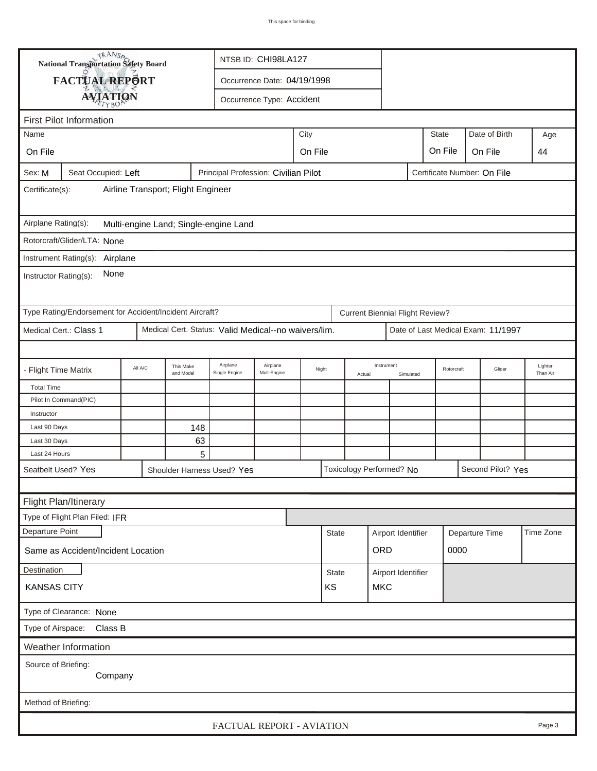| <b>National Transportation Safety Board</b>                                                                          |         |                        |                                       | NTSB ID: CHI98LA127         |         |              |        |                                        |           |            |  |                             |                     |
|----------------------------------------------------------------------------------------------------------------------|---------|------------------------|---------------------------------------|-----------------------------|---------|--------------|--------|----------------------------------------|-----------|------------|--|-----------------------------|---------------------|
| FACTUAL REPORT                                                                                                       |         |                        |                                       | Occurrence Date: 04/19/1998 |         |              |        |                                        |           |            |  |                             |                     |
|                                                                                                                      |         |                        |                                       |                             |         |              |        |                                        |           |            |  |                             |                     |
| <b>AVIATION</b><br>Occurrence Type: Accident                                                                         |         |                        |                                       |                             |         |              |        |                                        |           |            |  |                             |                     |
| <b>First Pilot Information</b>                                                                                       |         |                        |                                       |                             |         |              |        |                                        |           |            |  |                             |                     |
| Date of Birth<br><b>State</b><br>City<br>Name                                                                        |         |                        |                                       |                             |         |              |        |                                        |           |            |  |                             | Age                 |
| On File                                                                                                              |         |                        |                                       |                             | On File |              |        |                                        |           | On File    |  | On File                     | 44                  |
| Seat Occupied: Left<br>Sex: M                                                                                        |         |                        | Principal Profession: Civilian Pilot  |                             |         |              |        |                                        |           |            |  | Certificate Number: On File |                     |
| Airline Transport; Flight Engineer<br>Certificate(s):                                                                |         |                        |                                       |                             |         |              |        |                                        |           |            |  |                             |                     |
| Airplane Rating(s):                                                                                                  |         |                        | Multi-engine Land; Single-engine Land |                             |         |              |        |                                        |           |            |  |                             |                     |
| Rotorcraft/Glider/LTA: None                                                                                          |         |                        |                                       |                             |         |              |        |                                        |           |            |  |                             |                     |
| Instrument Rating(s):                                                                                                |         |                        |                                       |                             |         |              |        |                                        |           |            |  |                             |                     |
| Airplane<br>None<br>Instructor Rating(s):                                                                            |         |                        |                                       |                             |         |              |        |                                        |           |            |  |                             |                     |
| Type Rating/Endorsement for Accident/Incident Aircraft?                                                              |         |                        |                                       |                             |         |              |        | <b>Current Biennial Flight Review?</b> |           |            |  |                             |                     |
| Medical Cert.: Class 1<br>Medical Cert. Status: Valid Medical--no waivers/lim.<br>Date of Last Medical Exam: 11/1997 |         |                        |                                       |                             |         |              |        |                                        |           |            |  |                             |                     |
|                                                                                                                      |         |                        |                                       |                             |         |              |        |                                        |           |            |  |                             |                     |
| - Flight Time Matrix                                                                                                 | All A/C | This Make<br>and Model | Airplane<br>Single Engine             | Airplane<br>Mult-Engine     | Night   |              | Actual | Instrument                             | Simulated | Rotorcraft |  | Glider                      | Lighter<br>Than Air |
| <b>Total Time</b>                                                                                                    |         |                        |                                       |                             |         |              |        |                                        |           |            |  |                             |                     |
| Pilot In Command(PIC)                                                                                                |         |                        |                                       |                             |         |              |        |                                        |           |            |  |                             |                     |
| Instructor                                                                                                           |         |                        |                                       |                             |         |              |        |                                        |           |            |  |                             |                     |
| Last 90 Days<br>148                                                                                                  |         |                        |                                       |                             |         |              |        |                                        |           |            |  |                             |                     |
| Last 30 Days                                                                                                         |         | 63                     |                                       |                             |         |              |        |                                        |           |            |  |                             |                     |
| Last 24 Hours                                                                                                        |         | 5                      |                                       |                             |         |              |        |                                        |           |            |  |                             |                     |
| Seatbelt Used? Yes                                                                                                   |         |                        | Shoulder Harness Used? Yes            |                             |         |              |        | Toxicology Performed? No               |           |            |  | Second Pilot? Yes           |                     |
|                                                                                                                      |         |                        |                                       |                             |         |              |        |                                        |           |            |  |                             |                     |
| Flight Plan/Itinerary                                                                                                |         |                        |                                       |                             |         |              |        |                                        |           |            |  |                             |                     |
| Type of Flight Plan Filed: IFR                                                                                       |         |                        |                                       |                             |         |              |        |                                        |           |            |  |                             |                     |
| Departure Point                                                                                                      |         |                        |                                       |                             |         | <b>State</b> |        | Airport Identifier                     |           |            |  | Departure Time              | Time Zone           |
| <b>ORD</b><br>0000<br>Same as Accident/Incident Location                                                             |         |                        |                                       |                             |         |              |        |                                        |           |            |  |                             |                     |
| Destination<br><b>State</b><br>Airport Identifier                                                                    |         |                        |                                       |                             |         |              |        |                                        |           |            |  |                             |                     |
| <b>KANSAS CITY</b><br>KS<br><b>MKC</b>                                                                               |         |                        |                                       |                             |         |              |        |                                        |           |            |  |                             |                     |
| Type of Clearance: None                                                                                              |         |                        |                                       |                             |         |              |        |                                        |           |            |  |                             |                     |
| Type of Airspace: Class B                                                                                            |         |                        |                                       |                             |         |              |        |                                        |           |            |  |                             |                     |
| Weather Information                                                                                                  |         |                        |                                       |                             |         |              |        |                                        |           |            |  |                             |                     |
| Source of Briefing:<br>Company                                                                                       |         |                        |                                       |                             |         |              |        |                                        |           |            |  |                             |                     |
| Method of Briefing:                                                                                                  |         |                        |                                       |                             |         |              |        |                                        |           |            |  |                             |                     |
|                                                                                                                      |         |                        | FACTUAL REPORT - AVIATION             |                             |         |              |        |                                        |           |            |  |                             | Page 3              |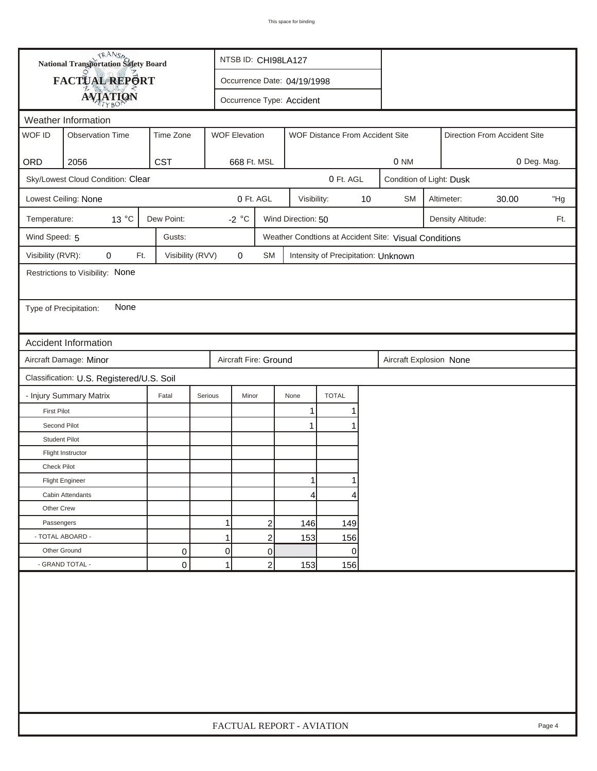| FACTUAL REPORT<br>Occurrence Date: 04/19/1998<br><b>AVIATION</b><br>Occurrence Type: Accident<br>Weather Information<br>WOF ID<br><b>WOF Elevation</b><br><b>Observation Time</b><br>Time Zone<br>WOF Distance From Accident Site<br>Direction From Accident Site<br><b>CST</b><br>ORD<br>2056<br>668 Ft. MSL<br>0 NM<br>0 Deg. Mag.<br>Sky/Lowest Cloud Condition: Clear<br>0 Ft. AGL<br>Condition of Light: Dusk<br>0 Ft. AGL<br>$10$<br>Lowest Ceiling: None<br>Visibility:<br><b>SM</b><br>Altimeter:<br>30.00<br>"Hg<br>13 °C<br>Dew Point:<br>-2 $^{\circ}$ C<br>Wind Direction: 50<br>Temperature:<br>Density Altitude:<br>Ft.<br>Wind Speed: 5<br>Gusts:<br>Weather Condtions at Accident Site: Visual Conditions<br>Visibility (RVR):<br>0<br>Visibility (RVV)<br>$\pmb{0}$<br>Ft.<br>SM<br>Intensity of Precipitation: Unknown<br>Restrictions to Visibility: None<br>None<br>Type of Precipitation:<br><b>Accident Information</b><br>Aircraft Damage: Minor<br>Aircraft Fire: Ground<br>Aircraft Explosion None<br>Classification: U.S. Registered/U.S. Soil<br><b>TOTAL</b><br>- Injury Summary Matrix<br>Fatal<br>Serious<br>Minor<br>None<br><b>First Pilot</b><br>1<br>Second Pilot<br>$\mathbf 1$<br><b>Student Pilot</b><br>Flight Instructor<br><b>Check Pilot</b><br><b>Flight Engineer</b><br>Cabin Attendants<br>41<br>4<br>Other Crew<br>1<br>Passengers<br>$\overline{c}$<br>146<br>149<br>- TOTAL ABOARD -<br>1<br>$\overline{c}$<br>153<br>156<br>Other Ground<br>0<br>0<br>0<br>0<br>- GRAND TOTAL -<br>0<br>1<br>$\overline{c}$<br>153<br>156 |  | <b>National Transportation Safety Board</b> |  |  | NTSB ID: CHI98LA127       |  |  |  |  |  |  |  |        |
|---------------------------------------------------------------------------------------------------------------------------------------------------------------------------------------------------------------------------------------------------------------------------------------------------------------------------------------------------------------------------------------------------------------------------------------------------------------------------------------------------------------------------------------------------------------------------------------------------------------------------------------------------------------------------------------------------------------------------------------------------------------------------------------------------------------------------------------------------------------------------------------------------------------------------------------------------------------------------------------------------------------------------------------------------------------------------------------------------------------------------------------------------------------------------------------------------------------------------------------------------------------------------------------------------------------------------------------------------------------------------------------------------------------------------------------------------------------------------------------------------------------------------------------------------------------------------|--|---------------------------------------------|--|--|---------------------------|--|--|--|--|--|--|--|--------|
|                                                                                                                                                                                                                                                                                                                                                                                                                                                                                                                                                                                                                                                                                                                                                                                                                                                                                                                                                                                                                                                                                                                                                                                                                                                                                                                                                                                                                                                                                                                                                                           |  |                                             |  |  |                           |  |  |  |  |  |  |  |        |
|                                                                                                                                                                                                                                                                                                                                                                                                                                                                                                                                                                                                                                                                                                                                                                                                                                                                                                                                                                                                                                                                                                                                                                                                                                                                                                                                                                                                                                                                                                                                                                           |  |                                             |  |  |                           |  |  |  |  |  |  |  |        |
|                                                                                                                                                                                                                                                                                                                                                                                                                                                                                                                                                                                                                                                                                                                                                                                                                                                                                                                                                                                                                                                                                                                                                                                                                                                                                                                                                                                                                                                                                                                                                                           |  |                                             |  |  |                           |  |  |  |  |  |  |  |        |
|                                                                                                                                                                                                                                                                                                                                                                                                                                                                                                                                                                                                                                                                                                                                                                                                                                                                                                                                                                                                                                                                                                                                                                                                                                                                                                                                                                                                                                                                                                                                                                           |  |                                             |  |  |                           |  |  |  |  |  |  |  |        |
|                                                                                                                                                                                                                                                                                                                                                                                                                                                                                                                                                                                                                                                                                                                                                                                                                                                                                                                                                                                                                                                                                                                                                                                                                                                                                                                                                                                                                                                                                                                                                                           |  |                                             |  |  |                           |  |  |  |  |  |  |  |        |
|                                                                                                                                                                                                                                                                                                                                                                                                                                                                                                                                                                                                                                                                                                                                                                                                                                                                                                                                                                                                                                                                                                                                                                                                                                                                                                                                                                                                                                                                                                                                                                           |  |                                             |  |  |                           |  |  |  |  |  |  |  |        |
|                                                                                                                                                                                                                                                                                                                                                                                                                                                                                                                                                                                                                                                                                                                                                                                                                                                                                                                                                                                                                                                                                                                                                                                                                                                                                                                                                                                                                                                                                                                                                                           |  |                                             |  |  |                           |  |  |  |  |  |  |  |        |
|                                                                                                                                                                                                                                                                                                                                                                                                                                                                                                                                                                                                                                                                                                                                                                                                                                                                                                                                                                                                                                                                                                                                                                                                                                                                                                                                                                                                                                                                                                                                                                           |  |                                             |  |  |                           |  |  |  |  |  |  |  |        |
|                                                                                                                                                                                                                                                                                                                                                                                                                                                                                                                                                                                                                                                                                                                                                                                                                                                                                                                                                                                                                                                                                                                                                                                                                                                                                                                                                                                                                                                                                                                                                                           |  |                                             |  |  |                           |  |  |  |  |  |  |  |        |
|                                                                                                                                                                                                                                                                                                                                                                                                                                                                                                                                                                                                                                                                                                                                                                                                                                                                                                                                                                                                                                                                                                                                                                                                                                                                                                                                                                                                                                                                                                                                                                           |  |                                             |  |  |                           |  |  |  |  |  |  |  |        |
|                                                                                                                                                                                                                                                                                                                                                                                                                                                                                                                                                                                                                                                                                                                                                                                                                                                                                                                                                                                                                                                                                                                                                                                                                                                                                                                                                                                                                                                                                                                                                                           |  |                                             |  |  |                           |  |  |  |  |  |  |  |        |
|                                                                                                                                                                                                                                                                                                                                                                                                                                                                                                                                                                                                                                                                                                                                                                                                                                                                                                                                                                                                                                                                                                                                                                                                                                                                                                                                                                                                                                                                                                                                                                           |  |                                             |  |  |                           |  |  |  |  |  |  |  |        |
|                                                                                                                                                                                                                                                                                                                                                                                                                                                                                                                                                                                                                                                                                                                                                                                                                                                                                                                                                                                                                                                                                                                                                                                                                                                                                                                                                                                                                                                                                                                                                                           |  |                                             |  |  |                           |  |  |  |  |  |  |  |        |
|                                                                                                                                                                                                                                                                                                                                                                                                                                                                                                                                                                                                                                                                                                                                                                                                                                                                                                                                                                                                                                                                                                                                                                                                                                                                                                                                                                                                                                                                                                                                                                           |  |                                             |  |  |                           |  |  |  |  |  |  |  |        |
|                                                                                                                                                                                                                                                                                                                                                                                                                                                                                                                                                                                                                                                                                                                                                                                                                                                                                                                                                                                                                                                                                                                                                                                                                                                                                                                                                                                                                                                                                                                                                                           |  |                                             |  |  |                           |  |  |  |  |  |  |  |        |
|                                                                                                                                                                                                                                                                                                                                                                                                                                                                                                                                                                                                                                                                                                                                                                                                                                                                                                                                                                                                                                                                                                                                                                                                                                                                                                                                                                                                                                                                                                                                                                           |  |                                             |  |  |                           |  |  |  |  |  |  |  |        |
|                                                                                                                                                                                                                                                                                                                                                                                                                                                                                                                                                                                                                                                                                                                                                                                                                                                                                                                                                                                                                                                                                                                                                                                                                                                                                                                                                                                                                                                                                                                                                                           |  |                                             |  |  |                           |  |  |  |  |  |  |  |        |
|                                                                                                                                                                                                                                                                                                                                                                                                                                                                                                                                                                                                                                                                                                                                                                                                                                                                                                                                                                                                                                                                                                                                                                                                                                                                                                                                                                                                                                                                                                                                                                           |  |                                             |  |  |                           |  |  |  |  |  |  |  |        |
|                                                                                                                                                                                                                                                                                                                                                                                                                                                                                                                                                                                                                                                                                                                                                                                                                                                                                                                                                                                                                                                                                                                                                                                                                                                                                                                                                                                                                                                                                                                                                                           |  |                                             |  |  |                           |  |  |  |  |  |  |  |        |
|                                                                                                                                                                                                                                                                                                                                                                                                                                                                                                                                                                                                                                                                                                                                                                                                                                                                                                                                                                                                                                                                                                                                                                                                                                                                                                                                                                                                                                                                                                                                                                           |  |                                             |  |  |                           |  |  |  |  |  |  |  |        |
|                                                                                                                                                                                                                                                                                                                                                                                                                                                                                                                                                                                                                                                                                                                                                                                                                                                                                                                                                                                                                                                                                                                                                                                                                                                                                                                                                                                                                                                                                                                                                                           |  |                                             |  |  |                           |  |  |  |  |  |  |  |        |
|                                                                                                                                                                                                                                                                                                                                                                                                                                                                                                                                                                                                                                                                                                                                                                                                                                                                                                                                                                                                                                                                                                                                                                                                                                                                                                                                                                                                                                                                                                                                                                           |  |                                             |  |  |                           |  |  |  |  |  |  |  |        |
|                                                                                                                                                                                                                                                                                                                                                                                                                                                                                                                                                                                                                                                                                                                                                                                                                                                                                                                                                                                                                                                                                                                                                                                                                                                                                                                                                                                                                                                                                                                                                                           |  |                                             |  |  |                           |  |  |  |  |  |  |  |        |
|                                                                                                                                                                                                                                                                                                                                                                                                                                                                                                                                                                                                                                                                                                                                                                                                                                                                                                                                                                                                                                                                                                                                                                                                                                                                                                                                                                                                                                                                                                                                                                           |  |                                             |  |  |                           |  |  |  |  |  |  |  |        |
|                                                                                                                                                                                                                                                                                                                                                                                                                                                                                                                                                                                                                                                                                                                                                                                                                                                                                                                                                                                                                                                                                                                                                                                                                                                                                                                                                                                                                                                                                                                                                                           |  |                                             |  |  |                           |  |  |  |  |  |  |  |        |
|                                                                                                                                                                                                                                                                                                                                                                                                                                                                                                                                                                                                                                                                                                                                                                                                                                                                                                                                                                                                                                                                                                                                                                                                                                                                                                                                                                                                                                                                                                                                                                           |  |                                             |  |  |                           |  |  |  |  |  |  |  |        |
|                                                                                                                                                                                                                                                                                                                                                                                                                                                                                                                                                                                                                                                                                                                                                                                                                                                                                                                                                                                                                                                                                                                                                                                                                                                                                                                                                                                                                                                                                                                                                                           |  |                                             |  |  |                           |  |  |  |  |  |  |  |        |
|                                                                                                                                                                                                                                                                                                                                                                                                                                                                                                                                                                                                                                                                                                                                                                                                                                                                                                                                                                                                                                                                                                                                                                                                                                                                                                                                                                                                                                                                                                                                                                           |  |                                             |  |  |                           |  |  |  |  |  |  |  |        |
|                                                                                                                                                                                                                                                                                                                                                                                                                                                                                                                                                                                                                                                                                                                                                                                                                                                                                                                                                                                                                                                                                                                                                                                                                                                                                                                                                                                                                                                                                                                                                                           |  |                                             |  |  |                           |  |  |  |  |  |  |  |        |
|                                                                                                                                                                                                                                                                                                                                                                                                                                                                                                                                                                                                                                                                                                                                                                                                                                                                                                                                                                                                                                                                                                                                                                                                                                                                                                                                                                                                                                                                                                                                                                           |  |                                             |  |  |                           |  |  |  |  |  |  |  |        |
|                                                                                                                                                                                                                                                                                                                                                                                                                                                                                                                                                                                                                                                                                                                                                                                                                                                                                                                                                                                                                                                                                                                                                                                                                                                                                                                                                                                                                                                                                                                                                                           |  |                                             |  |  |                           |  |  |  |  |  |  |  |        |
|                                                                                                                                                                                                                                                                                                                                                                                                                                                                                                                                                                                                                                                                                                                                                                                                                                                                                                                                                                                                                                                                                                                                                                                                                                                                                                                                                                                                                                                                                                                                                                           |  |                                             |  |  | FACTUAL REPORT - AVIATION |  |  |  |  |  |  |  | Page 4 |